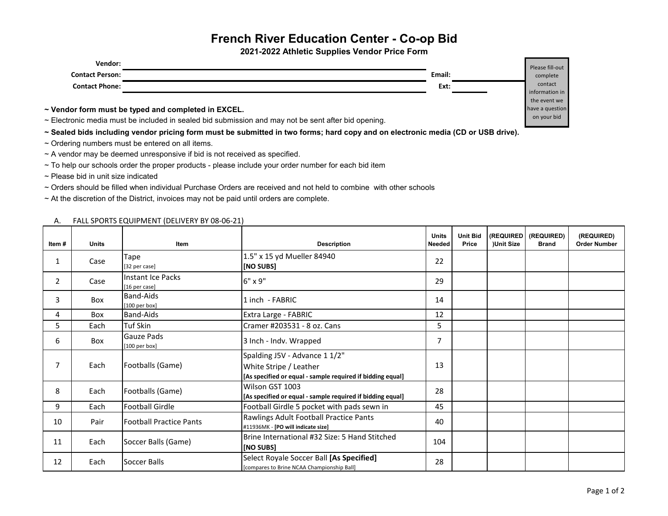## **French River Education Center - Co-op Bid**

**2021-2022 Athletic Supplies Vendor Price Form**

| Vendor:                |        | Please fill-out |
|------------------------|--------|-----------------|
| <b>Contact Person:</b> | Email: | complete        |
| <b>Contact Phone:</b>  | Ext:   | contact         |
|                        |        | information in  |
|                        |        | the event we    |

**~ Vendor form must be typed and completed in EXCEL.**

~ Electronic media must be included in sealed bid submission and may not be sent after bid opening.

**~ Sealed bids including vendor pricing form must be submitted in two forms; hard copy and on electronic media (CD or USB drive).** 

- $\sim$  Ordering numbers must be entered on all items.
- ~ A vendor may be deemed unresponsive if bid is not received as specified.
- ~ To help our schools order the proper products please include your order number for each bid item
- ~ Please bid in unit size indicated
- ~ Orders should be filled when individual Purchase Orders are received and not held to combine with other schools

~ At the discretion of the District, invoices may not be paid until orders are complete.

A. FALL SPORTS EQUIPMENT (DELIVERY BY 08-06-21)

| Item#          | <b>Units</b> | Item                                 | <b>Description</b>                                                                                                    | <b>Units</b><br><b>Needed</b> | <b>Unit Bid</b><br>Price | (REQUIRED)<br>)Unit Size | (REQUIRED)<br><b>Brand</b> | (REQUIRED)<br><b>Order Number</b> |
|----------------|--------------|--------------------------------------|-----------------------------------------------------------------------------------------------------------------------|-------------------------------|--------------------------|--------------------------|----------------------------|-----------------------------------|
| 1              | Case         | Tape<br>[32 per case]                | 1.5" x 15 yd Mueller 84940<br>[NO SUBS]                                                                               | 22                            |                          |                          |                            |                                   |
| $\overline{2}$ | Case         | Instant Ice Packs<br>[16 per case]   | 6" x 9"                                                                                                               | 29                            |                          |                          |                            |                                   |
| 3              | Box          | <b>Band-Aids</b><br>[100 per box]    | 1 inch - FABRIC                                                                                                       | 14                            |                          |                          |                            |                                   |
| 4              | Box          | <b>Band-Aids</b>                     | Extra Large - FABRIC                                                                                                  | 12                            |                          |                          |                            |                                   |
| 5              | Each         | Tuf Skin                             | Cramer #203531 - 8 oz. Cans                                                                                           | 5                             |                          |                          |                            |                                   |
| 6              | Box          | <b>Gauze Pads</b><br>$[100$ per box] | 3 Inch - Indv. Wrapped                                                                                                | $\overline{7}$                |                          |                          |                            |                                   |
|                | Each         | Footballs (Game)                     | Spalding J5V - Advance 1 1/2"<br>White Stripe / Leather<br>[As specified or equal - sample required if bidding equal] | 13                            |                          |                          |                            |                                   |
| 8              | Each         | Footballs (Game)                     | Wilson GST 1003<br>[As specified or equal - sample required if bidding equal]                                         | 28                            |                          |                          |                            |                                   |
| 9              | Each         | <b>Football Girdle</b>               | Football Girdle 5 pocket with pads sewn in                                                                            | 45                            |                          |                          |                            |                                   |
| 10             | Pair         | <b>Football Practice Pants</b>       | Rawlings Adult Football Practice Pants<br>#11936MK - [PO will indicate size]                                          | 40                            |                          |                          |                            |                                   |
| 11             | Each         | Soccer Balls (Game)                  | Brine International #32 Size: 5 Hand Stitched<br>[NO SUBS]                                                            | 104                           |                          |                          |                            |                                   |
| 12             | Each         | Soccer Balls                         | Select Royale Soccer Ball [As Specified]<br>[compares to Brine NCAA Championship Ball]                                | 28                            |                          |                          |                            |                                   |

the event we have a question on your bid